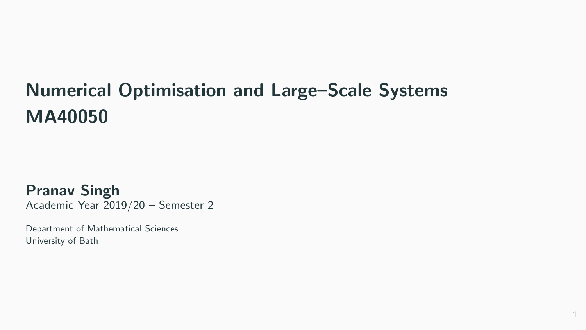# Numerical Optimisation and Large–Scale Systems MA40050

Pranav Singh Academic Year 2019/20 – Semester 2

Department of Mathematical Sciences University of Bath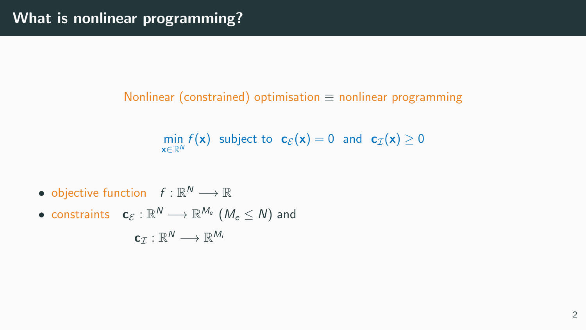#### Nonlinear (constrained) optimisation  $\equiv$  nonlinear programming

$$
\min_{\mathbf{x} \in \mathbb{R}^N} f(\mathbf{x}) \text{ subject to } \mathbf{c}_{\mathcal{E}}(\mathbf{x}) = 0 \text{ and } \mathbf{c}_{\mathcal{I}}(\mathbf{x}) \ge 0
$$

- objective function  $f: \mathbb{R}^N \longrightarrow \mathbb{R}$
- $\bullet$  constraints  $\quad \mathbf{c}_{\mathcal{E}}: \mathbb{R}^N \longrightarrow \mathbb{R}^{M_e}$   $(\mathcal{M}_e \leq \mathcal{N})$  and  $\mathbf{c}_{\mathcal{I}}: \mathbb{R}^N \longrightarrow \mathbb{R}^{M_i}$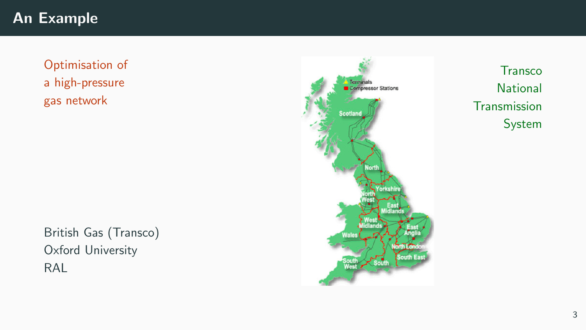# An Example

Optimisation of a high-pressure gas network

British Gas (Transco) Oxford University RAL



**Transco National Transmission** System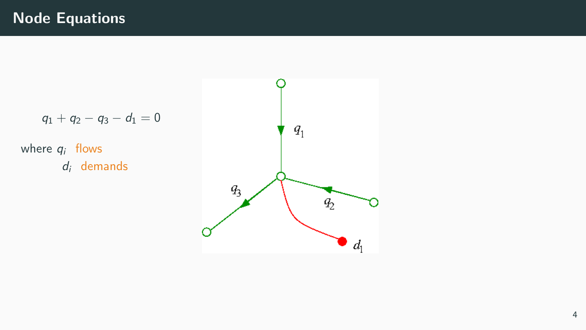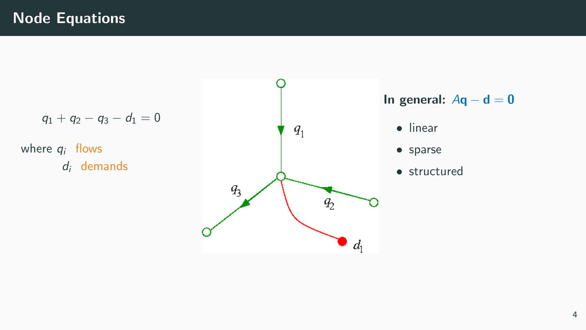$q_1 + q_2 - q_3 - d_1 = 0$ 

where  $q_i$  flows  $d_i$  demands



• structured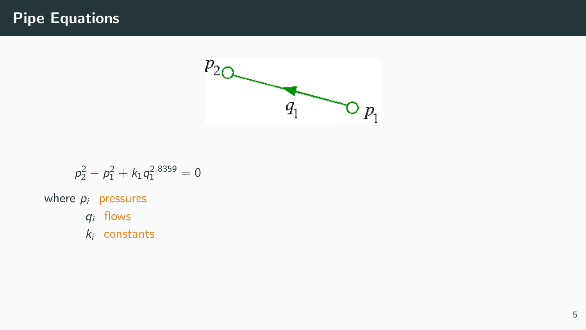## Pipe Equations



$$
p_2^2 - p_1^2 + k_1 q_1^{2.8359} = 0
$$

where  $p_i$  pressures

- $q_i$  flows
- $k_i$  constants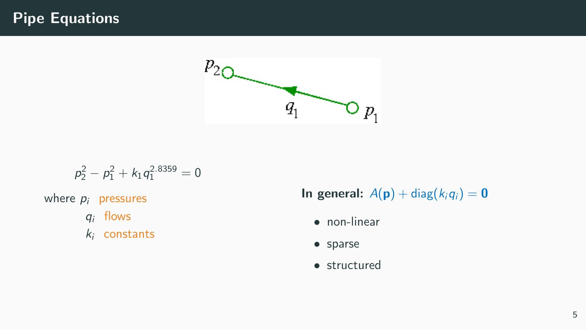### Pipe Equations



$$
p_2^2 - p_1^2 + k_1 q_1^{2.8359} = 0
$$

where  $p_i$  pressures

- $q_i$  flows
- $k_i$  constants

In general:  $A(\mathbf{p}) + \text{diag}(k_i q_i) = \mathbf{0}$ 

- non-linear
- sparse
- structured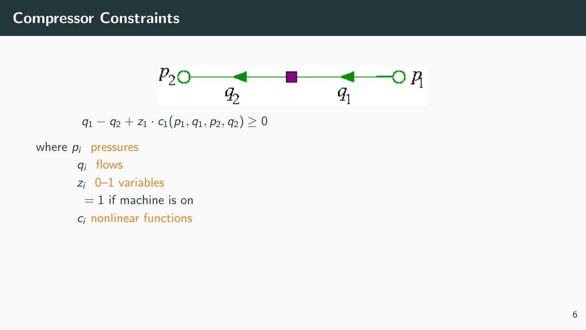

 $q_1 - q_2 + z_1 \cdot c_1(p_1, q_1, p_2, q_2) \geq 0$ 

where  $p_i$  pressures

- $q_i$  flows
- $z_i$  0–1 variables
	- $= 1$  if machine is on
- c<sup>i</sup> nonlinear functions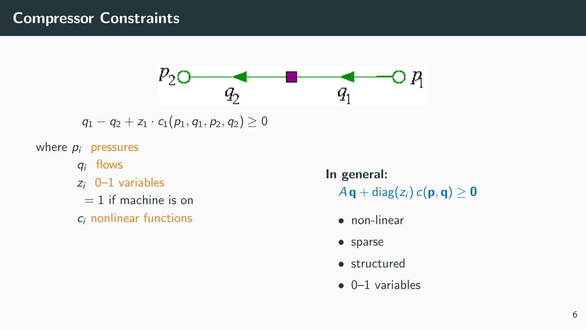

 $q_1 - q_2 + z_1 \cdot c_1(p_1, q_1, p_2, q_2) \geq 0$ 

where  $p_i$  pressures

- $q_i$  flows
- $z_i$  0-1 variables
	- $= 1$  if machine is on
- c<sup>i</sup> nonlinear functions

In general:  $A \mathbf{q} + \text{diag}(z_i) c(\mathbf{p}, \mathbf{q}) \geq 0$ 

- non-linear
- sparse
- structured
- 0–1 variables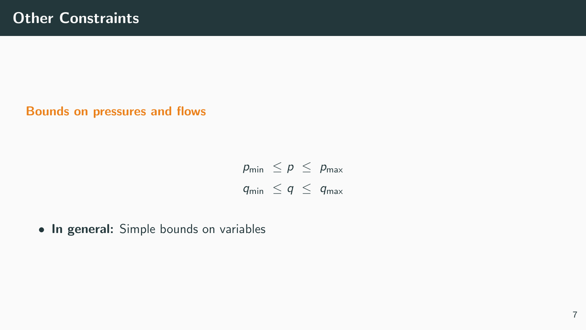Bounds on pressures and flows

 $p_{\min} \leq p \leq p_{\max}$  $q_{\min} \leq q \leq q_{\max}$ 

• In general: Simple bounds on variables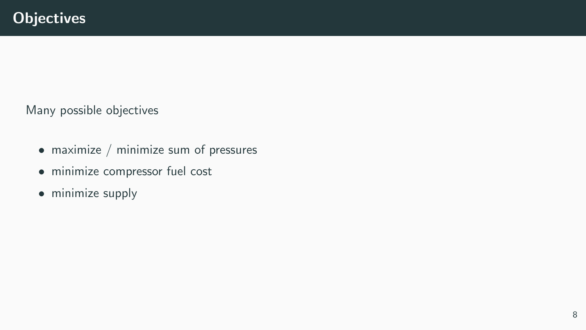Many possible objectives

- maximize / minimize sum of pressures
- minimize compressor fuel cost
- minimize supply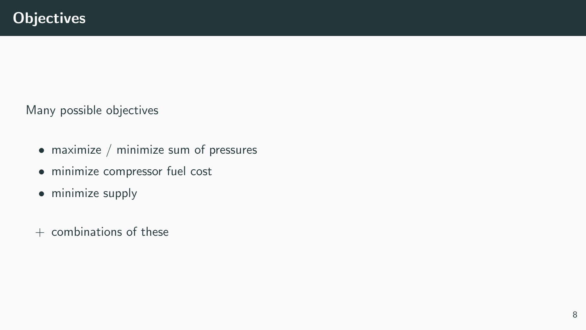Many possible objectives

- maximize / minimize sum of pressures
- minimize compressor fuel cost
- minimize supply
- $+$  combinations of these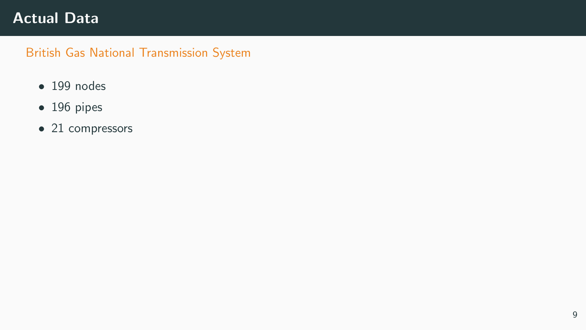### Actual Data

#### British Gas National Transmission System

- 199 nodes
- 196 pipes
- 21 compressors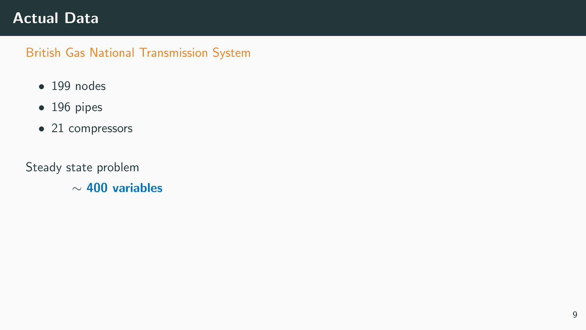### Actual Data

#### British Gas National Transmission System

- 199 nodes
- 196 pipes
- 21 compressors

Steady state problem

∼ 400 variables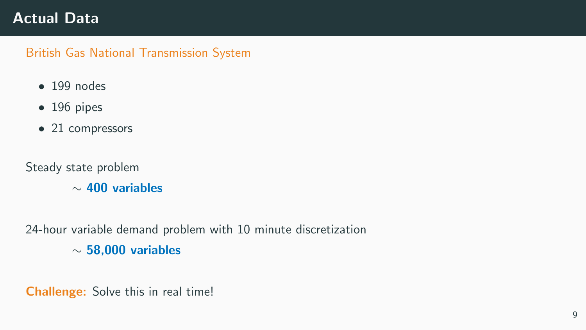### Actual Data

#### British Gas National Transmission System

- $\bullet$  199 nodes
- 196 pipes
- 21 compressors

Steady state problem

∼ 400 variables

24-hour variable demand problem with 10 minute discretization ∼ 58,000 variables

Challenge: Solve this in real time!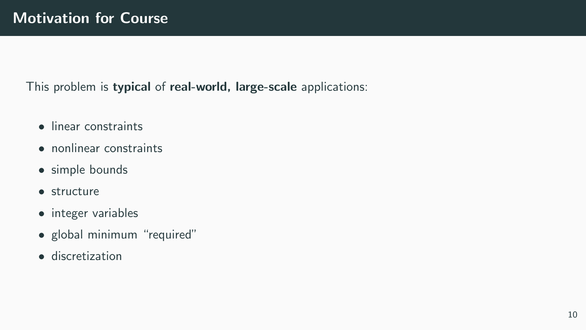This problem is typical of real-world, large-scale applications:

- linear constraints
- nonlinear constraints
- simple bounds
- structure
- integer variables
- global minimum "required"
- discretization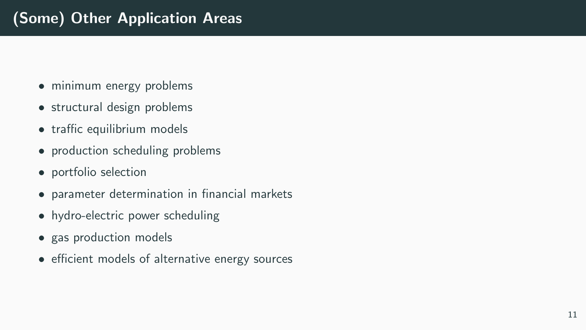- minimum energy problems
- structural design problems
- traffic equilibrium models
- production scheduling problems
- portfolio selection
- parameter determination in financial markets
- hydro-electric power scheduling
- gas production models
- efficient models of alternative energy sources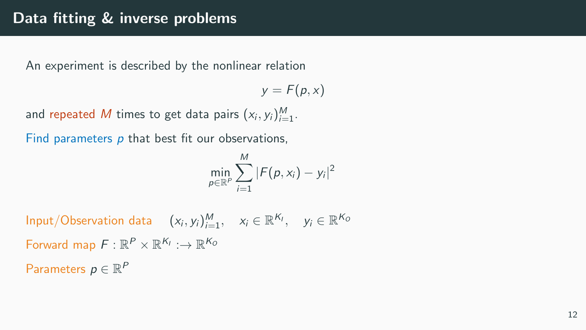### Data fitting & inverse problems

An experiment is described by the nonlinear relation

 $y = F(p, x)$ 

and repeated M times to get data pairs  $(x_i, y_i)_{i=1}^M$ .

Find parameters  $p$  that best fit our observations,

$$
\min_{p \in \mathbb{R}^P} \sum_{i=1}^M |F(p, x_i) - y_i|^2
$$

Input/Observation data  $(x_i, y_i)_{i=1}^M$ ,  $x_i \in \mathbb{R}^{K_l}$ ,  $y_i \in \mathbb{R}^{K_G}$ Forward map  $F: \mathbb{R}^P \times \mathbb{R}^{K_I} : \rightarrow \mathbb{R}^{K_O}$ Parameters  $p \in \mathbb{R}^P$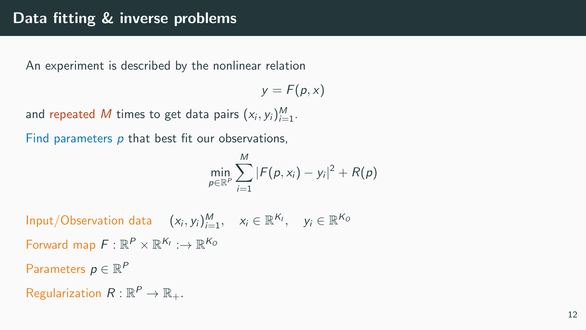### Data fitting & inverse problems

An experiment is described by the nonlinear relation

 $y = F(p, x)$ 

and repeated M times to get data pairs  $(x_i, y_i)_{i=1}^M$ .

Find parameters  $p$  that best fit our observations,

$$
\min_{p\in\mathbb{R}^P}\sum_{i=1}^M|F(p,x_i)-y_i|^2+R(p)
$$

Input/Observation data  $(x_i, y_i)_{i=1}^M$ ,  $x_i \in \mathbb{R}^{K_l}$ ,  $y_i \in \mathbb{R}^{K_G}$ Forward map  $F: \mathbb{R}^P \times \mathbb{R}^{K_I} : \rightarrow \mathbb{R}^{K_O}$ Parameters  $p \in \mathbb{R}^P$ Regularization  $R: \mathbb{R}^P \to \mathbb{R}_+$ .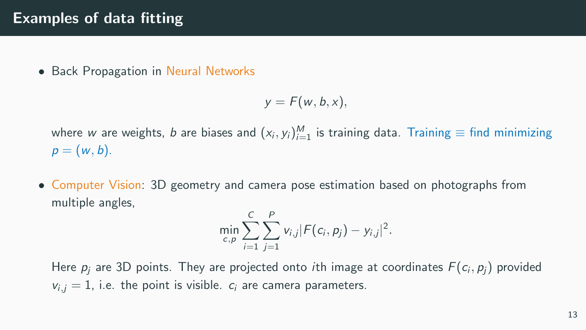### Examples of data fitting

• Back Propagation in Neural Networks

$$
y = F(w, b, x),
$$

where  $w$  are weights,  $b$  are biases and  $(x_i, y_i)_{i=1}^M$  is training data. Training  $\equiv$  find minimizing  $p = (w, b).$ 

• Computer Vision: 3D geometry and camera pose estimation based on photographs from multiple angles,

$$
\min_{c,p} \sum_{i=1}^C \sum_{j=1}^P v_{i,j} |F(c_i,p_j) - y_{i,j}|^2.
$$

Here  $p_j$  are 3D points. They are projected onto *i*th image at coordinates  $F(c_i, p_j)$  provided  $v_{i,j} = 1$ , i.e. the point is visible.  $c_i$  are camera parameters.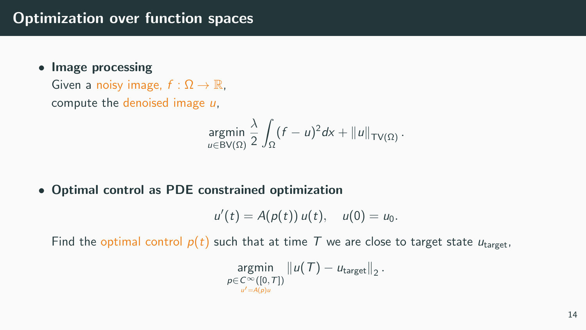• Image processing

Given a noisy image,  $f : \Omega \to \mathbb{R}$ , compute the denoised image  $u$ .

$$
\underset{u\in\text{BV}(\Omega)}{\text{argmin}}\,\frac{\lambda}{2}\int_{\Omega}(f-u)^2dx+\|u\|_{\text{TV}(\Omega)}\,.
$$

• Optimal control as PDE constrained optimization

$$
u'(t) = A(p(t)) u(t), \quad u(0) = u_0.
$$

Find the optimal control  $p(t)$  such that at time T we are close to target state  $u_{\text{target}}$ ,

$$
\underset{\substack{p \in C^{\infty}([0, T]) \\ u' = A(p)u}}{\text{argmin}} ||u(T) - u_{\text{target}}||_2.
$$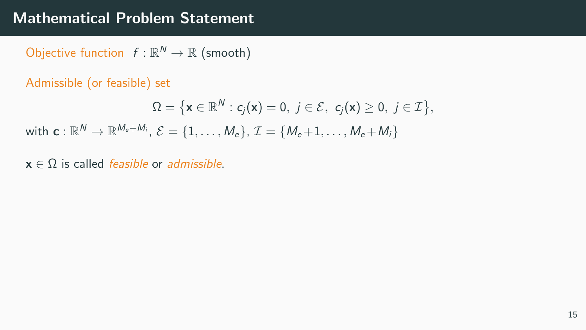Objective function  $f : \mathbb{R}^N \to \mathbb{R}$  (smooth)

Admissible (or feasible) set

$$
\Omega = \big\{ \mathbf{x} \in \mathbb{R}^N : c_j(\mathbf{x}) = 0, \ j \in \mathcal{E}, \ c_j(\mathbf{x}) \geq 0, \ j \in \mathcal{I} \big\},
$$

with  $\mathbf{c} : \mathbb{R}^N \to \mathbb{R}^{M_e + M_i}, \, \mathcal{E} = \{1, \dots, M_e\}, \, \mathcal{I} = \{M_e + 1, \dots, M_e + M_i\}$ 

 $x \in \Omega$  is called *feasible* or *admissible*.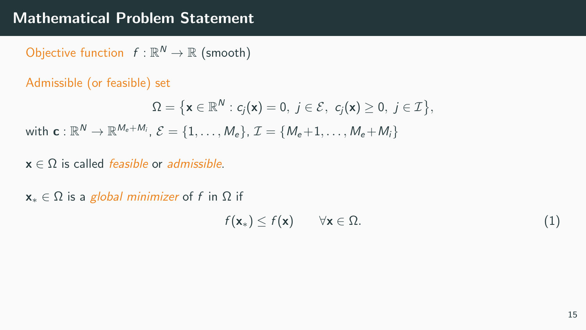Objective function  $f : \mathbb{R}^N \to \mathbb{R}$  (smooth)

Admissible (or feasible) set

$$
\Omega = \big\{ \mathbf{x} \in \mathbb{R}^N : c_j(\mathbf{x}) = 0, \ j \in \mathcal{E}, \ c_j(\mathbf{x}) \geq 0, \ j \in \mathcal{I} \big\},\
$$

with  $\mathbf{c} : \mathbb{R}^N \to \mathbb{R}^{M_e + M_i}, \, \mathcal{E} = \{1, \dots, M_e\}, \, \mathcal{I} = \{M_e + 1, \dots, M_e + M_i\}$ 

- $x \in \Omega$  is called *feasible* or *admissible*.
- $x_* \in \Omega$  is a global minimizer of f in  $\Omega$  if

$$
f(\mathbf{x}_*) \le f(\mathbf{x}) \qquad \forall \mathbf{x} \in \Omega. \tag{1}
$$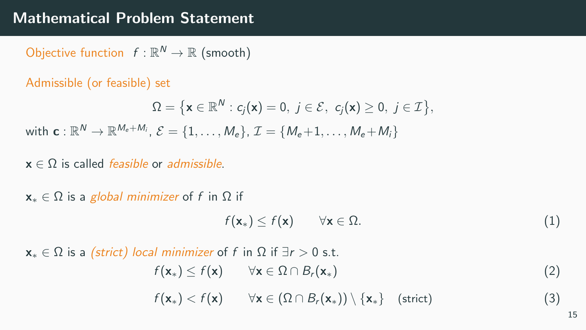Objective function  $f : \mathbb{R}^N \to \mathbb{R}$  (smooth)

Admissible (or feasible) set

$$
\Omega = \big\{ \mathbf{x} \in \mathbb{R}^N : c_j(\mathbf{x}) = 0, \ j \in \mathcal{E}, \ c_j(\mathbf{x}) \geq 0, \ j \in \mathcal{I} \big\},\
$$

with  $\mathbf{c} : \mathbb{R}^N \to \mathbb{R}^{M_e + M_i}, \, \mathcal{E} = \{1, \dots, M_e\}, \, \mathcal{I} = \{M_e + 1, \dots, M_e + M_i\}$ 

- $x \in \Omega$  is called *feasible* or *admissible*.
- $x_* \in \Omega$  is a global minimizer of f in  $\Omega$  if

$$
f(\mathbf{x}_{*}) \le f(\mathbf{x}) \qquad \forall \mathbf{x} \in \Omega.
$$
 (1)

 $x_* \in \Omega$  is a (strict) local minimizer of f in  $\Omega$  if  $\exists r > 0$  s.t.

 $f(\mathbf{x}_*) \leq f(\mathbf{x}) \qquad \forall \mathbf{x} \in \Omega \cap B_r(\mathbf{x}_*)$  (2)

 $f(\mathbf{x}_*) < f(\mathbf{x}) \quad \forall \mathbf{x} \in (\Omega \cap B_r(\mathbf{x}_*)) \setminus {\mathbf{x}_*} \quad \text{(strict)}$  (3)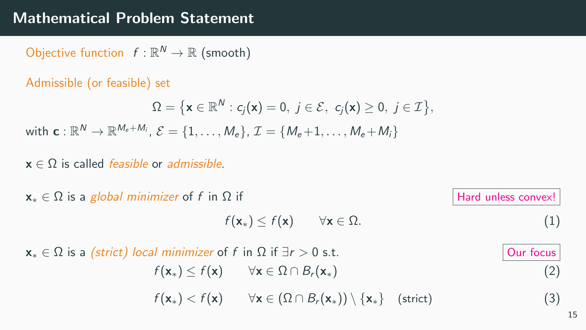Objective function  $f : \mathbb{R}^N \to \mathbb{R}$  (smooth)

Admissible (or feasible) set

$$
\Omega = \big\{ \mathbf{x} \in \mathbb{R}^N : c_j(\mathbf{x}) = 0, \ j \in \mathcal{E}, \ c_j(\mathbf{x}) \geq 0, \ j \in \mathcal{I} \big\},
$$

with  $\mathbf{c} : \mathbb{R}^N \to \mathbb{R}^{M_e + M_i}, \, \mathcal{E} = \{1, \dots, M_e\}, \, \mathcal{I} = \{M_e + 1, \dots, M_e + M_i\}$ 

 $x \in \Omega$  is called *feasible* or *admissible*.

 $x_* \in \Omega$  is a global minimizer of f in  $\Omega$  if Hard unless convex!

 $f(\mathbf{x}_*) \leq f(\mathbf{x}) \quad \forall \mathbf{x} \in \Omega.$  (1)

 $x_* \in \Omega$  is a (strict) local minimizer of f in  $\Omega$  if  $\exists r > 0$  s.t.  $\qquad$  Our focus  $f(\mathbf{x}_*) \leq f(\mathbf{x}) \qquad \forall \mathbf{x} \in \Omega \cap B_r(\mathbf{x}_*)$  (2)  $f(\mathbf{x}_*) < f(\mathbf{x}) \quad \forall \mathbf{x} \in (\Omega \cap B_r(\mathbf{x}_*)) \setminus {\mathbf{x}_*} \quad \text{(strict)}$  (3)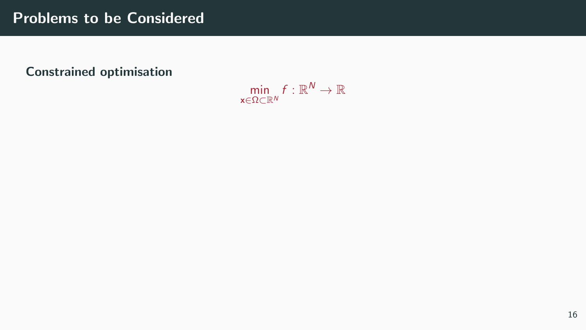### Problems to be Considered

#### Constrained optimisation

 $\min_{\alpha} f: \mathbb{R}^N \to \mathbb{R}$ x∈Ω⊂R<sup>N</sup>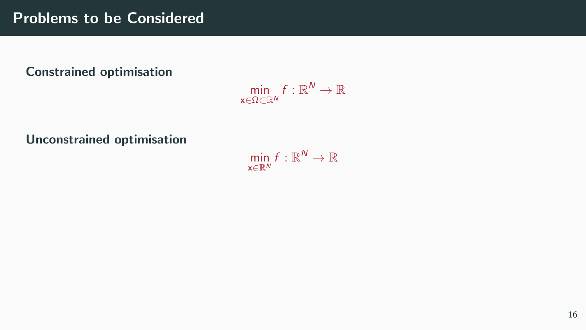#### Constrained optimisation

 $\min_{\alpha} f: \mathbb{R}^N \to \mathbb{R}$ x∈Ω⊂R<sup>N</sup>

Unconstrained optimisation

 $\min_{\mathbf{m}} f: \mathbb{R}^N \to \mathbb{R}$  $x \in \mathbb{R}^N$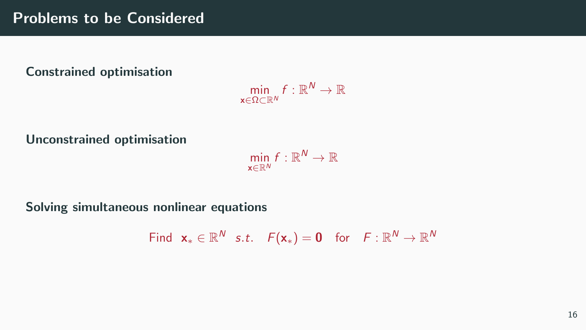#### Constrained optimisation

 $\min_{\alpha} f: \mathbb{R}^N \to \mathbb{R}$  $x \in Q \subset \mathbb{R}^N$ 

Unconstrained optimisation

 $\min_{\mathbf{m}} f: \mathbb{R}^N \to \mathbb{R}$ x∈R<sup>N</sup>

Solving simultaneous nonlinear equations

Find  $\mathbf{x}_{*} \in \mathbb{R}^{N}$  s.t.  $F(\mathbf{x}_{*}) = \mathbf{0}$  for  $F : \mathbb{R}^{N} \to \mathbb{R}^{N}$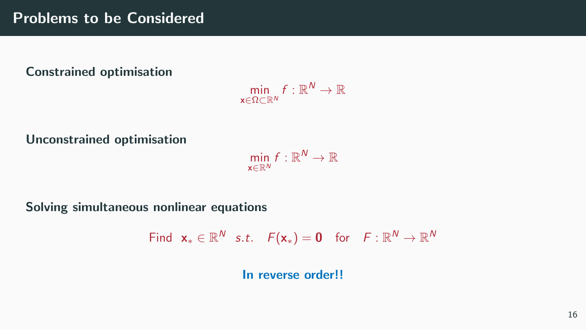#### Constrained optimisation

 $\min_{\alpha} f: \mathbb{R}^N \to \mathbb{R}$  $x \in \Omega \subset \mathbb{R}^N$ 

Unconstrained optimisation

 $\min_{\mathbf{m}} f: \mathbb{R}^N \to \mathbb{R}$ x∈R<sup>N</sup>

Solving simultaneous nonlinear equations

Find  $\mathbf{x}_{*} \in \mathbb{R}^{N}$  s.t.  $F(\mathbf{x}_{*}) = \mathbf{0}$  for  $F : \mathbb{R}^{N} \to \mathbb{R}^{N}$ In reverse order!!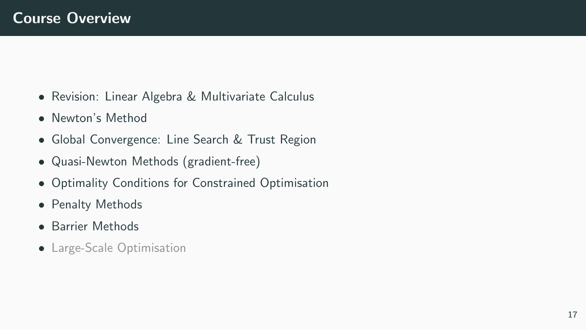- Revision: Linear Algebra & Multivariate Calculus
- Newton's Method
- Global Convergence: Line Search & Trust Region
- Quasi-Newton Methods (gradient-free)
- Optimality Conditions for Constrained Optimisation
- Penalty Methods
- Barrier Methods
- Large-Scale Optimisation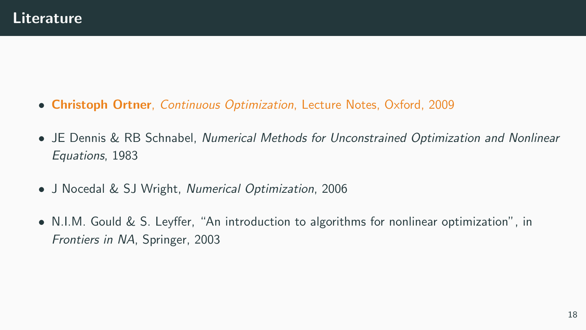- Christoph Ortner, Continuous Optimization, Lecture Notes, Oxford, 2009
- JE Dennis & RB Schnabel, Numerical Methods for Unconstrained Optimization and Nonlinear Equations, 1983
- J Nocedal & SJ Wright, Numerical Optimization, 2006
- N.I.M. Gould & S. Leyffer, "An introduction to algorithms for nonlinear optimization", in Frontiers in NA, Springer, 2003